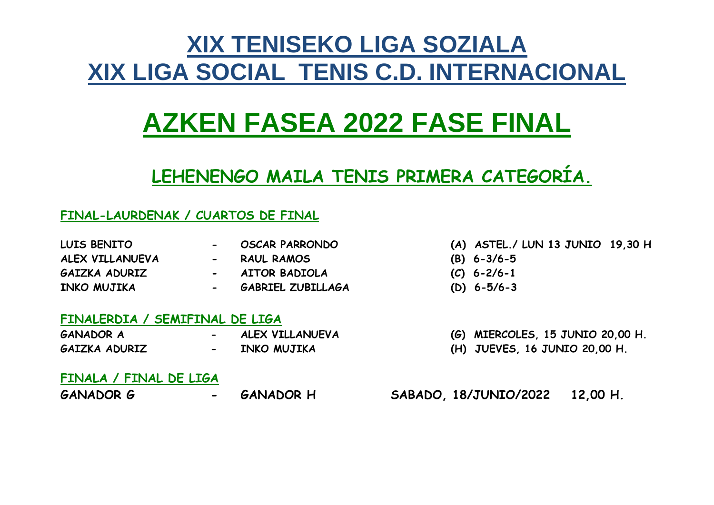# **XIX TENISEKO LIGA SOZIALA XIX LIGA SOCIAL TENIS C.D. INTERNACIONAL**

# **AZKEN FASEA 2022 FASE FINAL**

# **LEHENENGO MAILA TENIS PRIMERA CATEGORÍA.**

## **FINAL-LAURDENAK / CUARTOS DE FINAL**

| <b>LUIS BENITO</b> |
|--------------------|
| ALEX VILLANUEVA    |
| GAIZKA ADURIZ      |

- 
- 
- 
- 
- **INKO MUJIKA - GABRIEL ZUBILLAGA (D) 6-5/6-3**
- **LUIS BENITO - OSCAR PARRONDO (A) ASTEL./ LUN 13 JUNIO 19,30 H**
- **ALEX VILLANUEVA - RAUL RAMOS (B) 6-3/6-5**
- **GAIZKA ADURIZ - AITOR BADIOLA (C) 6-2/6-1**
	-

### **FINALERDIA / SEMIFINAL DE LIGA**

**GANADOR A - ALEX VILLANUEVA (G) MIERCOLES, 15 JUNIO 20,00 H. GAIZKA ADURIZ - INKO MUJIKA (H) JUEVES, 16 JUNIO 20,00 H.**

### **FINALA / FINAL DE LIGA**

**GANADOR G - GANADOR H SABADO, 18/JUNIO/2022 12,00 H.**